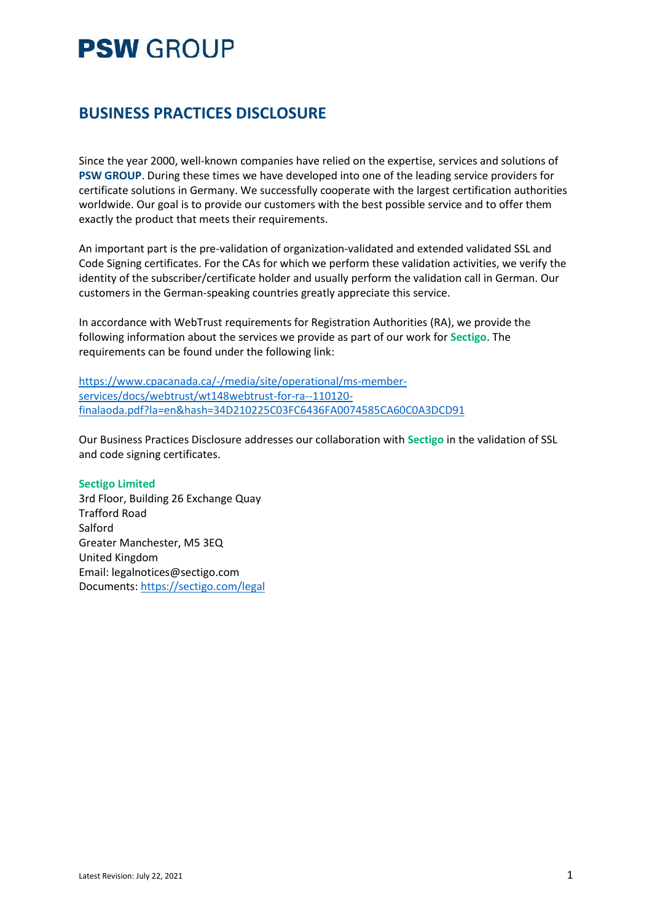### **BUSINESS PRACTICES DISCLOSURE**

Since the year 2000, well-known companies have relied on the expertise, services and solutions of **PSW GROUP**. During these times we have developed into one of the leading service providers for certificate solutions in Germany. We successfully cooperate with the largest certification authorities worldwide. Our goal is to provide our customers with the best possible service and to offer them exactly the product that meets their requirements.

An important part is the pre-validation of organization-validated and extended validated SSL and Code Signing certificates. For the CAs for which we perform these validation activities, we verify the identity of the subscriber/certificate holder and usually perform the validation call in German. Our customers in the German-speaking countries greatly appreciate this service.

In accordance with WebTrust requirements for Registration Authorities (RA), we provide the following information about the services we provide as part of our work for **Sectigo**. The requirements can be found under the following link:

[https://www.cpacanada.ca/-/media/site/operational/ms-member](https://www.cpacanada.ca/-/media/site/operational/ms-member-services/docs/webtrust/wt148webtrust-for-ra--110120-finalaoda.pdf?la=en&hash=34D210225C03FC6436FA0074585CA60C0A3DCD91)[services/docs/webtrust/wt148webtrust-for-ra--110120](https://www.cpacanada.ca/-/media/site/operational/ms-member-services/docs/webtrust/wt148webtrust-for-ra--110120-finalaoda.pdf?la=en&hash=34D210225C03FC6436FA0074585CA60C0A3DCD91) [finalaoda.pdf?la=en&hash=34D210225C03FC6436FA0074585CA60C0A3DCD91](https://www.cpacanada.ca/-/media/site/operational/ms-member-services/docs/webtrust/wt148webtrust-for-ra--110120-finalaoda.pdf?la=en&hash=34D210225C03FC6436FA0074585CA60C0A3DCD91)

Our Business Practices Disclosure addresses our collaboration with **Sectigo** in the validation of SSL and code signing certificates.

#### **Sectigo Limited**

3rd Floor, Building 26 Exchange Quay Trafford Road Salford Greater Manchester, M5 3EQ United Kingdom Email: legalnotices@sectigo.com Documents[: https://sectigo.com/legal](https://sectigo.com/legal)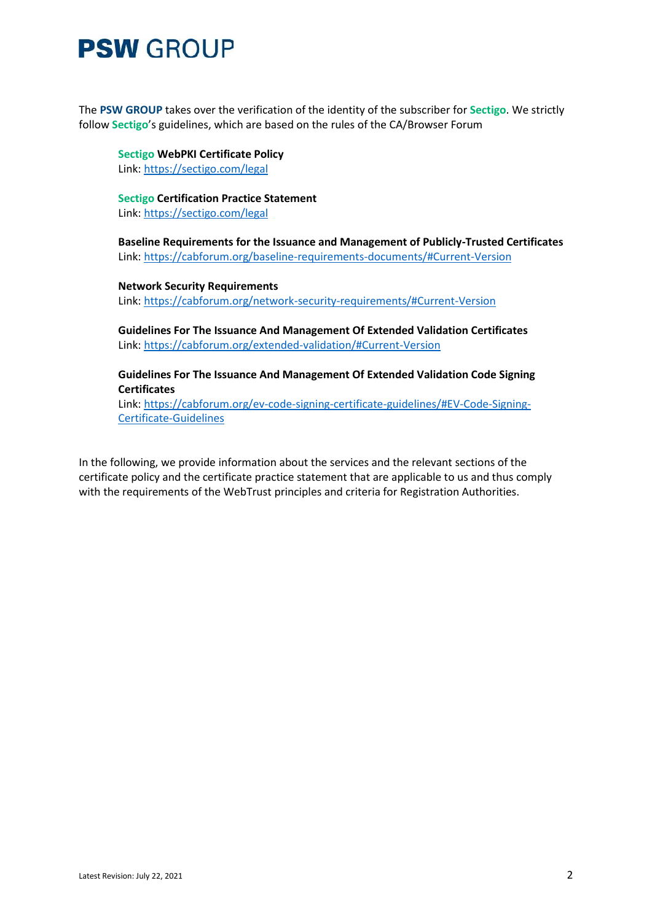The **PSW GROUP** takes over the verification of the identity of the subscriber for **Sectigo**. We strictly follow **Sectigo**'s guidelines, which are based on the rules of the CA/Browser Forum

**Sectigo WebPKI Certificate Policy** Link:<https://sectigo.com/legal>

**Sectigo Certification Practice Statement** Link:<https://sectigo.com/legal>

**Baseline Requirements for the Issuance and Management of Publicly-Trusted Certificates** Link:<https://cabforum.org/baseline-requirements-documents/#Current-Version>

**Network Security Requirements** Link:<https://cabforum.org/network-security-requirements/#Current-Version>

**Guidelines For The Issuance And Management Of Extended Validation Certificates** Link:<https://cabforum.org/extended-validation/#Current-Version>

**Guidelines For The Issuance And Management Of Extended Validation Code Signing Certificates**

Link: [https://cabforum.org/ev-code-signing-certificate-guidelines/#EV-Code-Signing-](https://cabforum.org/ev-code-signing-certificate-guidelines/#EV-Code-Signing-Certificate-Guidelines)[Certificate-Guidelines](https://cabforum.org/ev-code-signing-certificate-guidelines/#EV-Code-Signing-Certificate-Guidelines)

In the following, we provide information about the services and the relevant sections of the certificate policy and the certificate practice statement that are applicable to us and thus comply with the requirements of the WebTrust principles and criteria for Registration Authorities.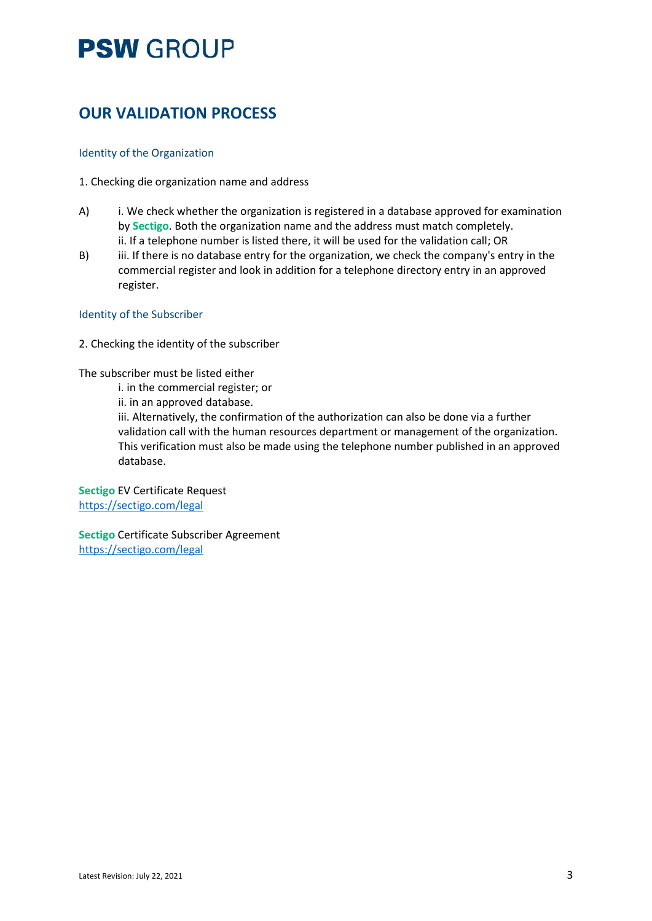### **OUR VALIDATION PROCESS**

#### Identity of the Organization

- 1. Checking die organization name and address
- A) i. We check whether the organization is registered in a database approved for examination by **Sectigo**. Both the organization name and the address must match completely. ii. If a telephone number is listed there, it will be used for the validation call; OR
- B) iii. If there is no database entry for the organization, we check the company's entry in the commercial register and look in addition for a telephone directory entry in an approved register.

#### Identity of the Subscriber

2. Checking the identity of the subscriber

#### The subscriber must be listed either

i. in the commercial register; or

ii. in an approved database.

iii. Alternatively, the confirmation of the authorization can also be done via a further validation call with the human resources department or management of the organization. This verification must also be made using the telephone number published in an approved database.

**Sectigo** EV Certificate Request <https://sectigo.com/legal>

**Sectigo** Certificate Subscriber Agreement <https://sectigo.com/legal>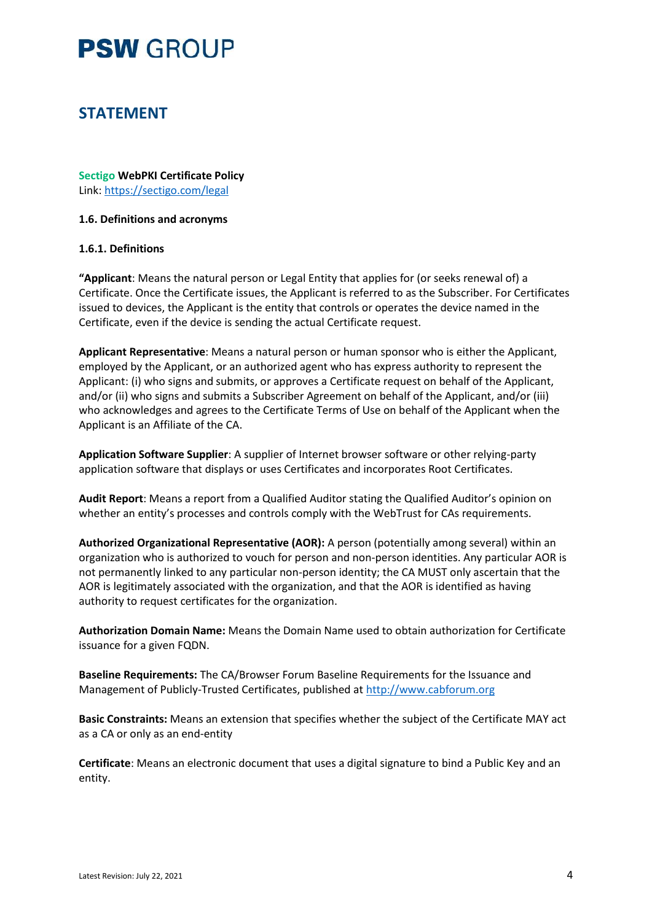### **STATEMENT**

**Sectigo WebPKI Certificate Policy** Link:<https://sectigo.com/legal>

#### **1.6. Definitions and acronyms**

#### **1.6.1. Definitions**

**"Applicant**: Means the natural person or Legal Entity that applies for (or seeks renewal of) a Certificate. Once the Certificate issues, the Applicant is referred to as the Subscriber. For Certificates issued to devices, the Applicant is the entity that controls or operates the device named in the Certificate, even if the device is sending the actual Certificate request.

**Applicant Representative**: Means a natural person or human sponsor who is either the Applicant, employed by the Applicant, or an authorized agent who has express authority to represent the Applicant: (i) who signs and submits, or approves a Certificate request on behalf of the Applicant, and/or (ii) who signs and submits a Subscriber Agreement on behalf of the Applicant, and/or (iii) who acknowledges and agrees to the Certificate Terms of Use on behalf of the Applicant when the Applicant is an Affiliate of the CA.

**Application Software Supplier**: A supplier of Internet browser software or other relying-party application software that displays or uses Certificates and incorporates Root Certificates.

**Audit Report**: Means a report from a Qualified Auditor stating the Qualified Auditor's opinion on whether an entity's processes and controls comply with the WebTrust for CAs requirements.

**Authorized Organizational Representative (AOR):** A person (potentially among several) within an organization who is authorized to vouch for person and non-person identities. Any particular AOR is not permanently linked to any particular non-person identity; the CA MUST only ascertain that the AOR is legitimately associated with the organization, and that the AOR is identified as having authority to request certificates for the organization.

**Authorization Domain Name:** Means the Domain Name used to obtain authorization for Certificate issuance for a given FQDN.

**Baseline Requirements:** The CA/Browser Forum Baseline Requirements for the Issuance and Management of Publicly-Trusted Certificates, published at [http://www.cabforum.org](http://www.cabforum.org/)

**Basic Constraints:** Means an extension that specifies whether the subject of the Certificate MAY act as a CA or only as an end-entity

**Certificate**: Means an electronic document that uses a digital signature to bind a Public Key and an entity.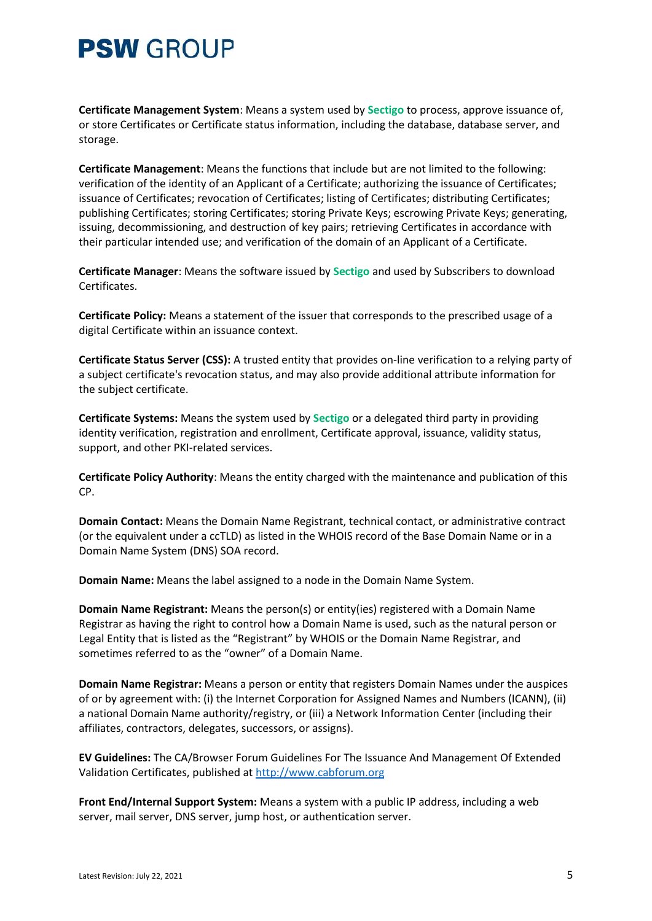**Certificate Management System**: Means a system used by **Sectigo** to process, approve issuance of, or store Certificates or Certificate status information, including the database, database server, and storage.

**Certificate Management**: Means the functions that include but are not limited to the following: verification of the identity of an Applicant of a Certificate; authorizing the issuance of Certificates; issuance of Certificates; revocation of Certificates; listing of Certificates; distributing Certificates; publishing Certificates; storing Certificates; storing Private Keys; escrowing Private Keys; generating, issuing, decommissioning, and destruction of key pairs; retrieving Certificates in accordance with their particular intended use; and verification of the domain of an Applicant of a Certificate.

**Certificate Manager**: Means the software issued by **Sectigo** and used by Subscribers to download Certificates.

**Certificate Policy:** Means a statement of the issuer that corresponds to the prescribed usage of a digital Certificate within an issuance context.

**Certificate Status Server (CSS):** A trusted entity that provides on-line verification to a relying party of a subject certificate's revocation status, and may also provide additional attribute information for the subject certificate.

**Certificate Systems:** Means the system used by **Sectigo** or a delegated third party in providing identity verification, registration and enrollment, Certificate approval, issuance, validity status, support, and other PKI-related services.

**Certificate Policy Authority**: Means the entity charged with the maintenance and publication of this CP.

**Domain Contact:** Means the Domain Name Registrant, technical contact, or administrative contract (or the equivalent under a ccTLD) as listed in the WHOIS record of the Base Domain Name or in a Domain Name System (DNS) SOA record.

**Domain Name:** Means the label assigned to a node in the Domain Name System.

**Domain Name Registrant:** Means the person(s) or entity(ies) registered with a Domain Name Registrar as having the right to control how a Domain Name is used, such as the natural person or Legal Entity that is listed as the "Registrant" by WHOIS or the Domain Name Registrar, and sometimes referred to as the "owner" of a Domain Name.

**Domain Name Registrar:** Means a person or entity that registers Domain Names under the auspices of or by agreement with: (i) the Internet Corporation for Assigned Names and Numbers (ICANN), (ii) a national Domain Name authority/registry, or (iii) a Network Information Center (including their affiliates, contractors, delegates, successors, or assigns).

**EV Guidelines:** The CA/Browser Forum Guidelines For The Issuance And Management Of Extended Validation Certificates, published at [http://www.cabforum.org](http://www.cabforum.org/)

**Front End/Internal Support System:** Means a system with a public IP address, including a web server, mail server, DNS server, jump host, or authentication server.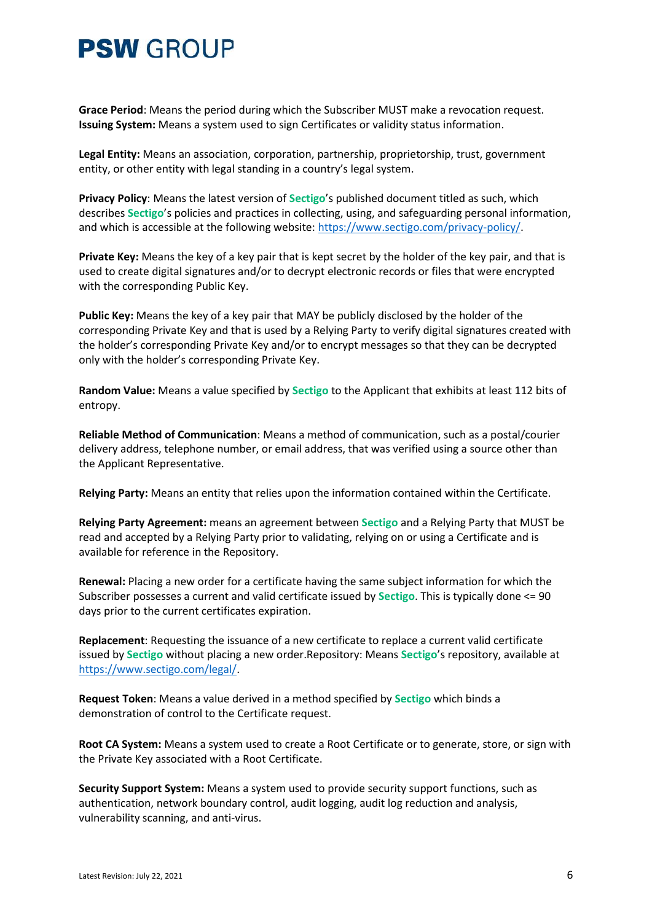**Grace Period**: Means the period during which the Subscriber MUST make a revocation request. **Issuing System:** Means a system used to sign Certificates or validity status information.

**Legal Entity:** Means an association, corporation, partnership, proprietorship, trust, government entity, or other entity with legal standing in a country's legal system.

**Privacy Policy**: Means the latest version of **Sectigo**'s published document titled as such, which describes **Sectigo**'s policies and practices in collecting, using, and safeguarding personal information, and which is accessible at the following website: [https://www.sectigo.com/privacy-policy/.](https://www.sectigo.com/privacy-policy/)

**Private Key:** Means the key of a key pair that is kept secret by the holder of the key pair, and that is used to create digital signatures and/or to decrypt electronic records or files that were encrypted with the corresponding Public Key.

**Public Key:** Means the key of a key pair that MAY be publicly disclosed by the holder of the corresponding Private Key and that is used by a Relying Party to verify digital signatures created with the holder's corresponding Private Key and/or to encrypt messages so that they can be decrypted only with the holder's corresponding Private Key.

**Random Value:** Means a value specified by **Sectigo** to the Applicant that exhibits at least 112 bits of entropy.

**Reliable Method of Communication**: Means a method of communication, such as a postal/courier delivery address, telephone number, or email address, that was verified using a source other than the Applicant Representative.

**Relying Party:** Means an entity that relies upon the information contained within the Certificate.

**Relying Party Agreement:** means an agreement between **Sectigo** and a Relying Party that MUST be read and accepted by a Relying Party prior to validating, relying on or using a Certificate and is available for reference in the Repository.

**Renewal:** Placing a new order for a certificate having the same subject information for which the Subscriber possesses a current and valid certificate issued by **Sectigo**. This is typically done <= 90 days prior to the current certificates expiration.

**Replacement**: Requesting the issuance of a new certificate to replace a current valid certificate issued by **Sectigo** without placing a new order.Repository: Means **Sectigo**'s repository, available at [https://www.sectigo.com/legal/.](https://www.sectigo.com/legal/)

**Request Token**: Means a value derived in a method specified by **Sectigo** which binds a demonstration of control to the Certificate request.

**Root CA System:** Means a system used to create a Root Certificate or to generate, store, or sign with the Private Key associated with a Root Certificate.

**Security Support System:** Means a system used to provide security support functions, such as authentication, network boundary control, audit logging, audit log reduction and analysis, vulnerability scanning, and anti-virus.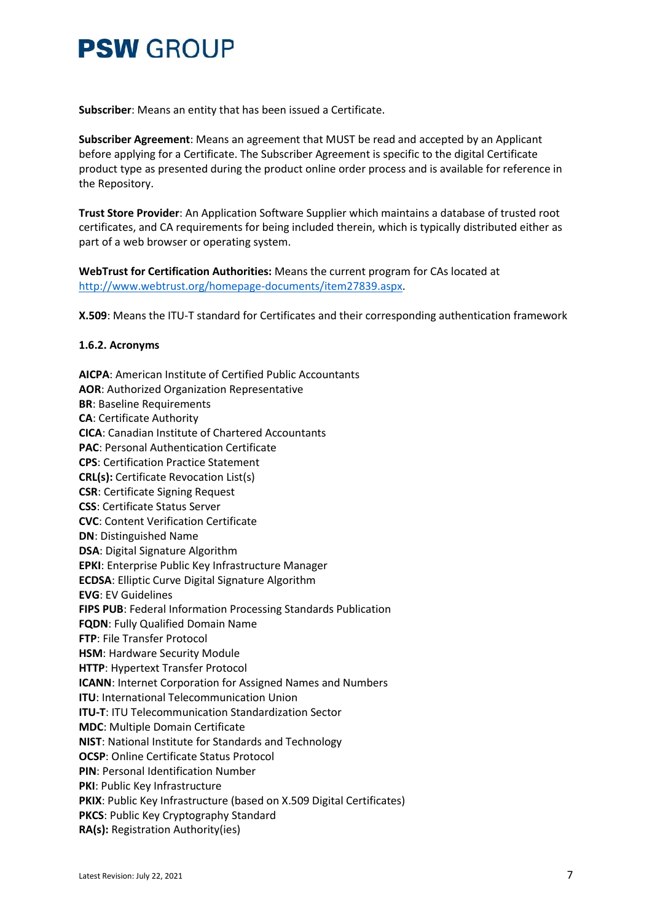**Subscriber**: Means an entity that has been issued a Certificate.

**Subscriber Agreement**: Means an agreement that MUST be read and accepted by an Applicant before applying for a Certificate. The Subscriber Agreement is specific to the digital Certificate product type as presented during the product online order process and is available for reference in the Repository.

**Trust Store Provider**: An Application Software Supplier which maintains a database of trusted root certificates, and CA requirements for being included therein, which is typically distributed either as part of a web browser or operating system.

**WebTrust for Certification Authorities:** Means the current program for CAs located at [http://www.webtrust.org/homepage-documents/item27839.aspx.](http://www.webtrust.org/homepage-documents/item27839.aspx)

**X.509**: Means the ITU-T standard for Certificates and their corresponding authentication framework

#### **1.6.2. Acronyms**

**AICPA**: American Institute of Certified Public Accountants **AOR**: Authorized Organization Representative **BR**: Baseline Requirements **CA**: Certificate Authority **CICA**: Canadian Institute of Chartered Accountants **PAC**: Personal Authentication Certificate **CPS**: Certification Practice Statement **CRL(s):** Certificate Revocation List(s) **CSR**: Certificate Signing Request **CSS**: Certificate Status Server **CVC**: Content Verification Certificate **DN**: Distinguished Name **DSA**: Digital Signature Algorithm **EPKI**: Enterprise Public Key Infrastructure Manager **ECDSA**: Elliptic Curve Digital Signature Algorithm **EVG**: EV Guidelines **FIPS PUB**: Federal Information Processing Standards Publication **FQDN**: Fully Qualified Domain Name **FTP**: File Transfer Protocol **HSM**: Hardware Security Module **HTTP**: Hypertext Transfer Protocol **ICANN**: Internet Corporation for Assigned Names and Numbers **ITU**: International Telecommunication Union **ITU-T**: ITU Telecommunication Standardization Sector **MDC**: Multiple Domain Certificate **NIST**: National Institute for Standards and Technology **OCSP**: Online Certificate Status Protocol **PIN**: Personal Identification Number **PKI**: Public Key Infrastructure **PKIX**: Public Key Infrastructure (based on X.509 Digital Certificates) **PKCS**: Public Key Cryptography Standard **RA(s):** Registration Authority(ies)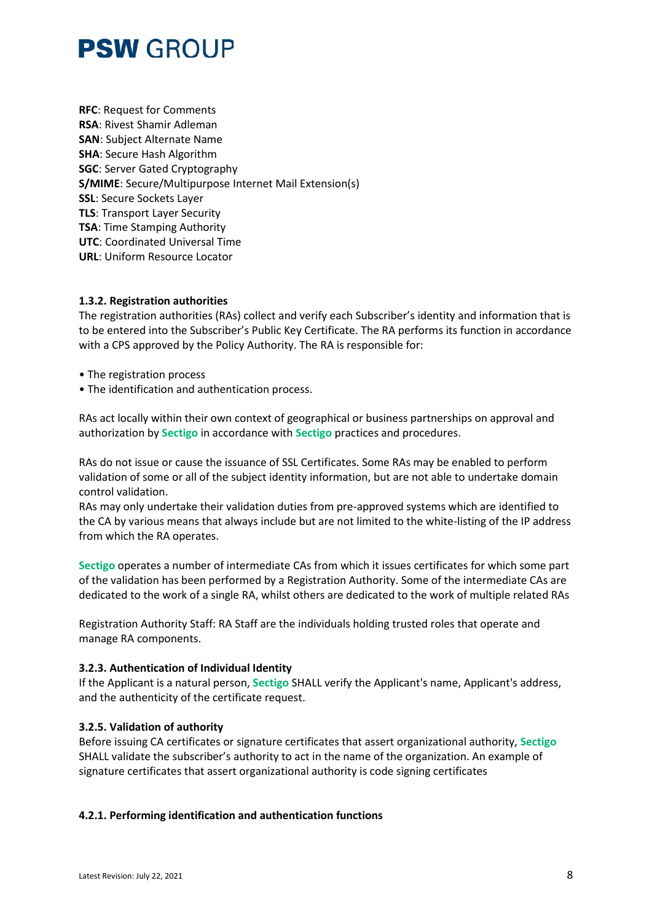**RFC**: Request for Comments **RSA**: Rivest Shamir Adleman **SAN**: Subject Alternate Name **SHA**: Secure Hash Algorithm **SGC**: Server Gated Cryptography **S/MIME**: Secure/Multipurpose Internet Mail Extension(s) **SSL**: Secure Sockets Layer **TLS**: Transport Layer Security **TSA**: Time Stamping Authority **UTC**: Coordinated Universal Time **URL**: Uniform Resource Locator

#### **1.3.2. Registration authorities**

The registration authorities (RAs) collect and verify each Subscriber's identity and information that is to be entered into the Subscriber's Public Key Certificate. The RA performs its function in accordance with a CPS approved by the Policy Authority. The RA is responsible for:

- The registration process
- The identification and authentication process.

RAs act locally within their own context of geographical or business partnerships on approval and authorization by **Sectigo** in accordance with **Sectigo** practices and procedures.

RAs do not issue or cause the issuance of SSL Certificates. Some RAs may be enabled to perform validation of some or all of the subject identity information, but are not able to undertake domain control validation.

RAs may only undertake their validation duties from pre-approved systems which are identified to the CA by various means that always include but are not limited to the white-listing of the IP address from which the RA operates.

**Sectigo** operates a number of intermediate CAs from which it issues certificates for which some part of the validation has been performed by a Registration Authority. Some of the intermediate CAs are dedicated to the work of a single RA, whilst others are dedicated to the work of multiple related RAs

Registration Authority Staff: RA Staff are the individuals holding trusted roles that operate and manage RA components.

#### **3.2.3. Authentication of Individual Identity**

If the Applicant is a natural person, **Sectigo** SHALL verify the Applicant's name, Applicant's address, and the authenticity of the certificate request.

#### **3.2.5. Validation of authority**

Before issuing CA certificates or signature certificates that assert organizational authority, **Sectigo** SHALL validate the subscriber's authority to act in the name of the organization. An example of signature certificates that assert organizational authority is code signing certificates

#### **4.2.1. Performing identification and authentication functions**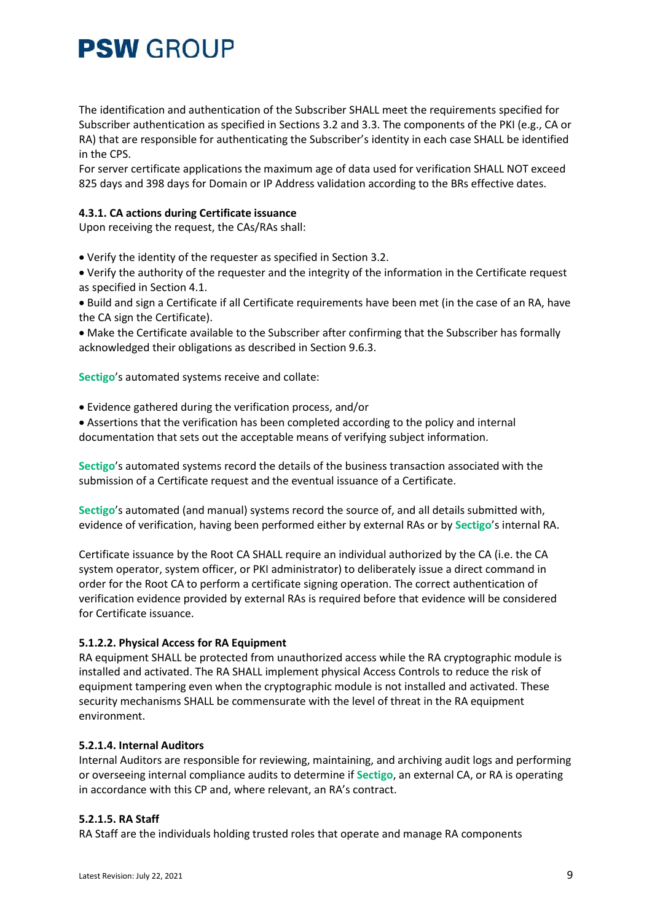The identification and authentication of the Subscriber SHALL meet the requirements specified for Subscriber authentication as specified in Sections 3.2 and 3.3. The components of the PKI (e.g., CA or RA) that are responsible for authenticating the Subscriber's identity in each case SHALL be identified in the CPS.

For server certificate applications the maximum age of data used for verification SHALL NOT exceed 825 days and 398 days for Domain or IP Address validation according to the BRs effective dates.

#### **4.3.1. CA actions during Certificate issuance**

Upon receiving the request, the CAs/RAs shall:

• Verify the identity of the requester as specified in Section 3.2.

• Verify the authority of the requester and the integrity of the information in the Certificate request as specified in Section 4.1.

• Build and sign a Certificate if all Certificate requirements have been met (in the case of an RA, have the CA sign the Certificate).

• Make the Certificate available to the Subscriber after confirming that the Subscriber has formally acknowledged their obligations as described in Section 9.6.3.

**Sectigo**'s automated systems receive and collate:

• Evidence gathered during the verification process, and/or

• Assertions that the verification has been completed according to the policy and internal documentation that sets out the acceptable means of verifying subject information.

**Sectigo**'s automated systems record the details of the business transaction associated with the submission of a Certificate request and the eventual issuance of a Certificate.

**Sectigo**'s automated (and manual) systems record the source of, and all details submitted with, evidence of verification, having been performed either by external RAs or by **Sectigo**'s internal RA.

Certificate issuance by the Root CA SHALL require an individual authorized by the CA (i.e. the CA system operator, system officer, or PKI administrator) to deliberately issue a direct command in order for the Root CA to perform a certificate signing operation. The correct authentication of verification evidence provided by external RAs is required before that evidence will be considered for Certificate issuance.

#### **5.1.2.2. Physical Access for RA Equipment**

RA equipment SHALL be protected from unauthorized access while the RA cryptographic module is installed and activated. The RA SHALL implement physical Access Controls to reduce the risk of equipment tampering even when the cryptographic module is not installed and activated. These security mechanisms SHALL be commensurate with the level of threat in the RA equipment environment.

#### **5.2.1.4. Internal Auditors**

Internal Auditors are responsible for reviewing, maintaining, and archiving audit logs and performing or overseeing internal compliance audits to determine if **Sectigo**, an external CA, or RA is operating in accordance with this CP and, where relevant, an RA's contract.

#### **5.2.1.5. RA Staff**

RA Staff are the individuals holding trusted roles that operate and manage RA components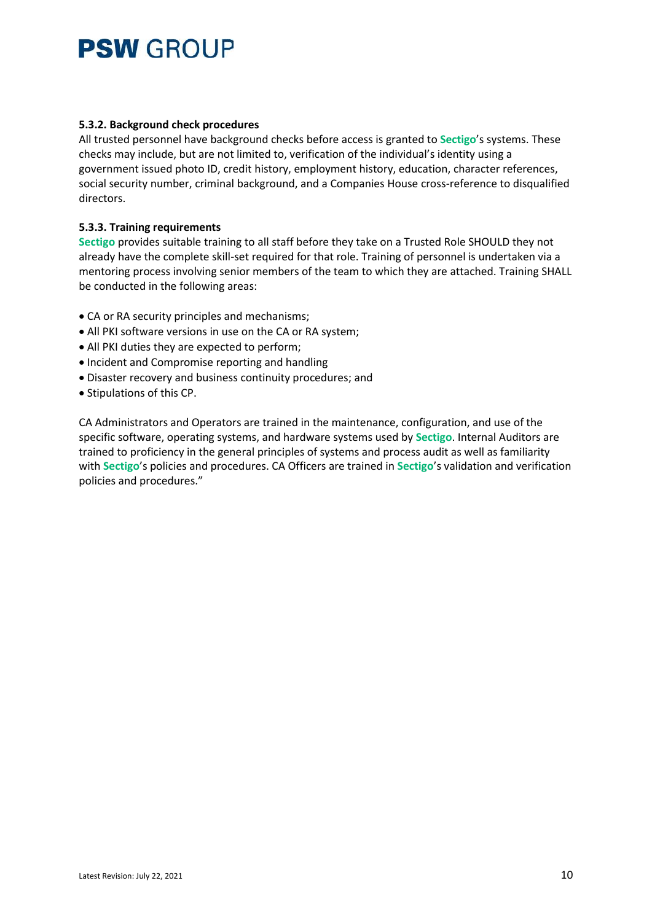#### **5.3.2. Background check procedures**

All trusted personnel have background checks before access is granted to **Sectigo**'s systems. These checks may include, but are not limited to, verification of the individual's identity using a government issued photo ID, credit history, employment history, education, character references, social security number, criminal background, and a Companies House cross-reference to disqualified directors.

### **5.3.3. Training requirements**

**Sectigo** provides suitable training to all staff before they take on a Trusted Role SHOULD they not already have the complete skill-set required for that role. Training of personnel is undertaken via a mentoring process involving senior members of the team to which they are attached. Training SHALL be conducted in the following areas:

- CA or RA security principles and mechanisms;
- All PKI software versions in use on the CA or RA system;
- All PKI duties they are expected to perform;
- Incident and Compromise reporting and handling
- Disaster recovery and business continuity procedures; and
- Stipulations of this CP.

CA Administrators and Operators are trained in the maintenance, configuration, and use of the specific software, operating systems, and hardware systems used by **Sectigo**. Internal Auditors are trained to proficiency in the general principles of systems and process audit as well as familiarity with **Sectigo**'s policies and procedures. CA Officers are trained in **Sectigo**'s validation and verification policies and procedures."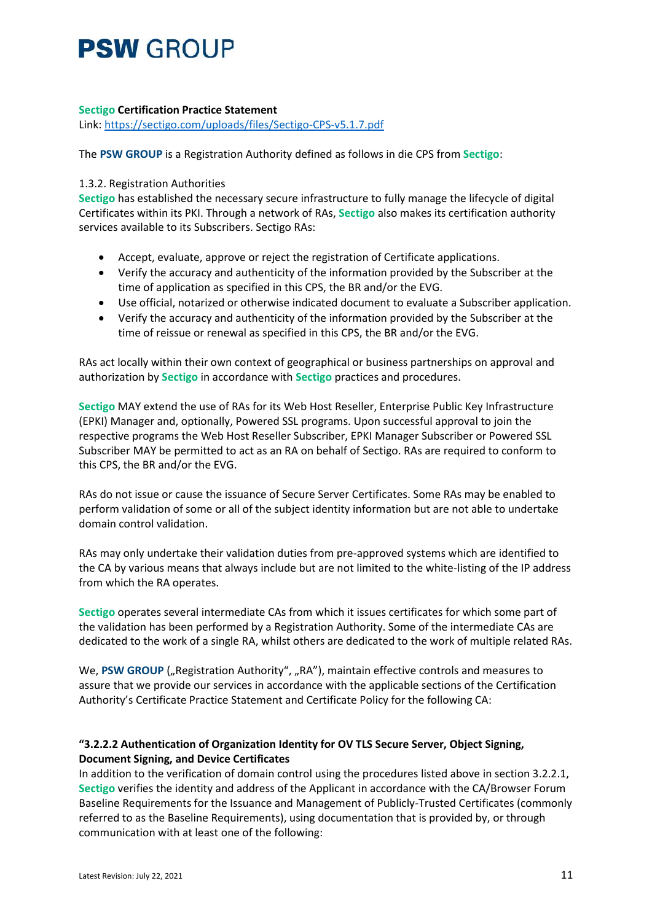### **Sectigo Certification Practice Statement**

Link:<https://sectigo.com/uploads/files/Sectigo-CPS-v5.1.7.pdf>

The **PSW GROUP** is a Registration Authority defined as follows in die CPS from **Sectigo**:

### 1.3.2. Registration Authorities

**Sectigo** has established the necessary secure infrastructure to fully manage the lifecycle of digital Certificates within its PKI. Through a network of RAs, **Sectigo** also makes its certification authority services available to its Subscribers. Sectigo RAs:

- Accept, evaluate, approve or reject the registration of Certificate applications.
- Verify the accuracy and authenticity of the information provided by the Subscriber at the time of application as specified in this CPS, the BR and/or the EVG.
- Use official, notarized or otherwise indicated document to evaluate a Subscriber application.
- Verify the accuracy and authenticity of the information provided by the Subscriber at the time of reissue or renewal as specified in this CPS, the BR and/or the EVG.

RAs act locally within their own context of geographical or business partnerships on approval and authorization by **Sectigo** in accordance with **Sectigo** practices and procedures.

**Sectigo** MAY extend the use of RAs for its Web Host Reseller, Enterprise Public Key Infrastructure (EPKI) Manager and, optionally, Powered SSL programs. Upon successful approval to join the respective programs the Web Host Reseller Subscriber, EPKI Manager Subscriber or Powered SSL Subscriber MAY be permitted to act as an RA on behalf of Sectigo. RAs are required to conform to this CPS, the BR and/or the EVG.

RAs do not issue or cause the issuance of Secure Server Certificates. Some RAs may be enabled to perform validation of some or all of the subject identity information but are not able to undertake domain control validation.

RAs may only undertake their validation duties from pre-approved systems which are identified to the CA by various means that always include but are not limited to the white-listing of the IP address from which the RA operates.

**Sectigo** operates several intermediate CAs from which it issues certificates for which some part of the validation has been performed by a Registration Authority. Some of the intermediate CAs are dedicated to the work of a single RA, whilst others are dedicated to the work of multiple related RAs.

We, PSW GROUP ("Registration Authority", "RA"), maintain effective controls and measures to assure that we provide our services in accordance with the applicable sections of the Certification Authority's Certificate Practice Statement and Certificate Policy for the following CA:

### **"3.2.2.2 Authentication of Organization Identity for OV TLS Secure Server, Object Signing, Document Signing, and Device Certificates**

In addition to the verification of domain control using the procedures listed above in section 3.2.2.1, **Sectigo** verifies the identity and address of the Applicant in accordance with the CA/Browser Forum Baseline Requirements for the Issuance and Management of Publicly-Trusted Certificates (commonly referred to as the Baseline Requirements), using documentation that is provided by, or through communication with at least one of the following: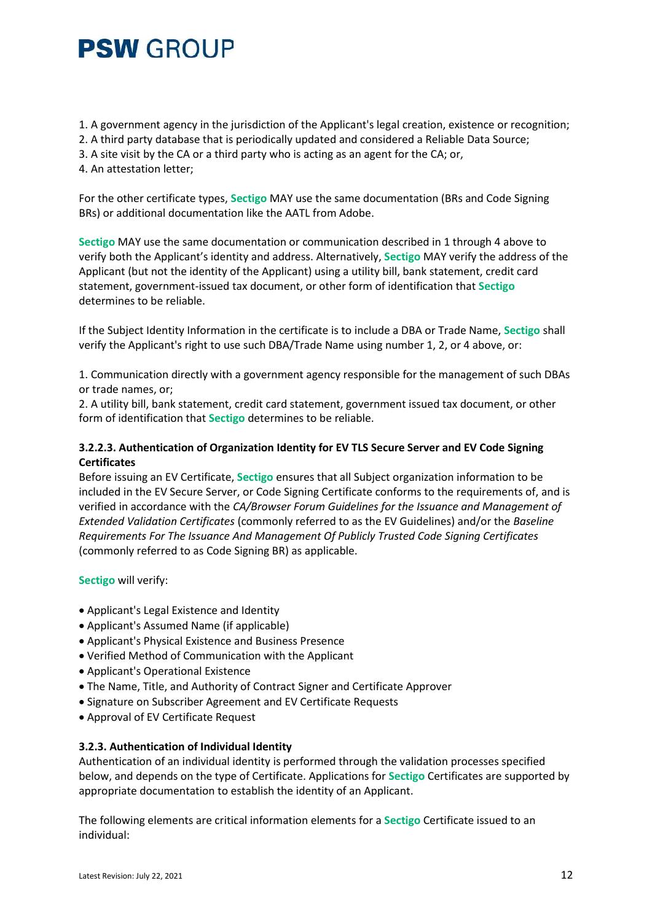- 1. A government agency in the jurisdiction of the Applicant's legal creation, existence or recognition;
- 2. A third party database that is periodically updated and considered a Reliable Data Source;
- 3. A site visit by the CA or a third party who is acting as an agent for the CA; or,
- 4. An attestation letter;

For the other certificate types, **Sectigo** MAY use the same documentation (BRs and Code Signing BRs) or additional documentation like the AATL from Adobe.

**Sectigo** MAY use the same documentation or communication described in 1 through 4 above to verify both the Applicant's identity and address. Alternatively, **Sectigo** MAY verify the address of the Applicant (but not the identity of the Applicant) using a utility bill, bank statement, credit card statement, government-issued tax document, or other form of identification that **Sectigo** determines to be reliable.

If the Subject Identity Information in the certificate is to include a DBA or Trade Name, **Sectigo** shall verify the Applicant's right to use such DBA/Trade Name using number 1, 2, or 4 above, or:

1. Communication directly with a government agency responsible for the management of such DBAs or trade names, or;

2. A utility bill, bank statement, credit card statement, government issued tax document, or other form of identification that **Sectigo** determines to be reliable.

### **3.2.2.3. Authentication of Organization Identity for EV TLS Secure Server and EV Code Signing Certificates**

Before issuing an EV Certificate, **Sectigo** ensures that all Subject organization information to be included in the EV Secure Server, or Code Signing Certificate conforms to the requirements of, and is verified in accordance with the *CA/Browser Forum Guidelines for the Issuance and Management of Extended Validation Certificates* (commonly referred to as the EV Guidelines) and/or the *Baseline Requirements For The Issuance And Management Of Publicly Trusted Code Signing Certificates* (commonly referred to as Code Signing BR) as applicable.

#### **Sectigo** will verify:

- Applicant's Legal Existence and Identity
- Applicant's Assumed Name (if applicable)
- Applicant's Physical Existence and Business Presence
- Verified Method of Communication with the Applicant
- Applicant's Operational Existence
- The Name, Title, and Authority of Contract Signer and Certificate Approver
- Signature on Subscriber Agreement and EV Certificate Requests
- Approval of EV Certificate Request

#### **3.2.3. Authentication of Individual Identity**

Authentication of an individual identity is performed through the validation processes specified below, and depends on the type of Certificate. Applications for **Sectigo** Certificates are supported by appropriate documentation to establish the identity of an Applicant.

The following elements are critical information elements for a **Sectigo** Certificate issued to an individual: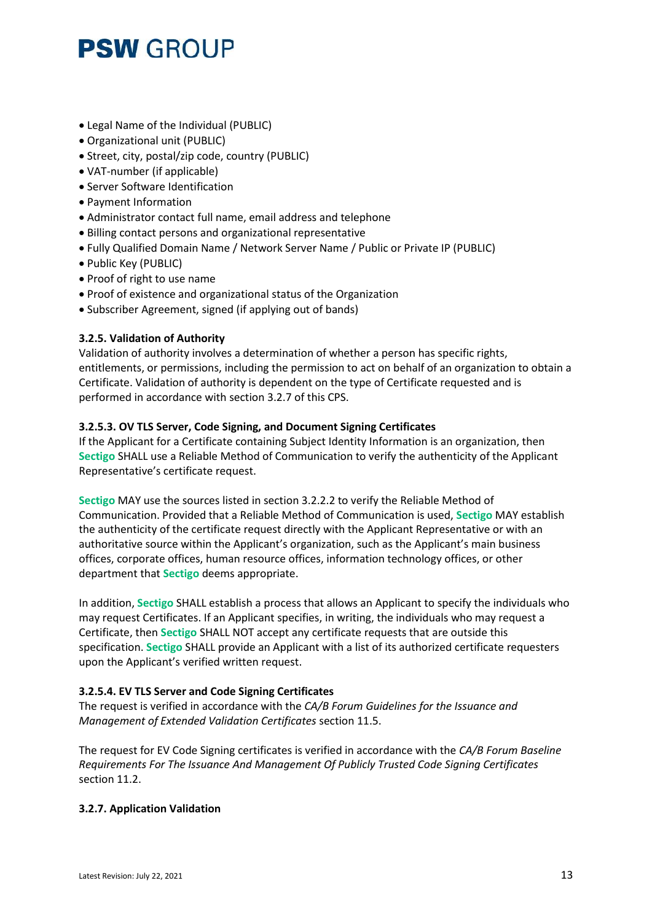- Legal Name of the Individual (PUBLIC)
- Organizational unit (PUBLIC)
- Street, city, postal/zip code, country (PUBLIC)
- VAT-number (if applicable)
- Server Software Identification
- Payment Information
- Administrator contact full name, email address and telephone
- Billing contact persons and organizational representative
- Fully Qualified Domain Name / Network Server Name / Public or Private IP (PUBLIC)
- Public Key (PUBLIC)
- Proof of right to use name
- Proof of existence and organizational status of the Organization
- Subscriber Agreement, signed (if applying out of bands)

### **3.2.5. Validation of Authority**

Validation of authority involves a determination of whether a person has specific rights, entitlements, or permissions, including the permission to act on behalf of an organization to obtain a Certificate. Validation of authority is dependent on the type of Certificate requested and is performed in accordance with section 3.2.7 of this CPS.

#### **3.2.5.3. OV TLS Server, Code Signing, and Document Signing Certificates**

If the Applicant for a Certificate containing Subject Identity Information is an organization, then **Sectigo** SHALL use a Reliable Method of Communication to verify the authenticity of the Applicant Representative's certificate request.

**Sectigo** MAY use the sources listed in section 3.2.2.2 to verify the Reliable Method of Communication. Provided that a Reliable Method of Communication is used, **Sectigo** MAY establish the authenticity of the certificate request directly with the Applicant Representative or with an authoritative source within the Applicant's organization, such as the Applicant's main business offices, corporate offices, human resource offices, information technology offices, or other department that **Sectigo** deems appropriate.

In addition, **Sectigo** SHALL establish a process that allows an Applicant to specify the individuals who may request Certificates. If an Applicant specifies, in writing, the individuals who may request a Certificate, then **Sectigo** SHALL NOT accept any certificate requests that are outside this specification. **Sectigo** SHALL provide an Applicant with a list of its authorized certificate requesters upon the Applicant's verified written request.

#### **3.2.5.4. EV TLS Server and Code Signing Certificates**

The request is verified in accordance with the *CA/B Forum Guidelines for the Issuance and Management of Extended Validation Certificates* section 11.5.

The request for EV Code Signing certificates is verified in accordance with the *CA/B Forum Baseline Requirements For The Issuance And Management Of Publicly Trusted Code Signing Certificates* section 11.2.

#### **3.2.7. Application Validation**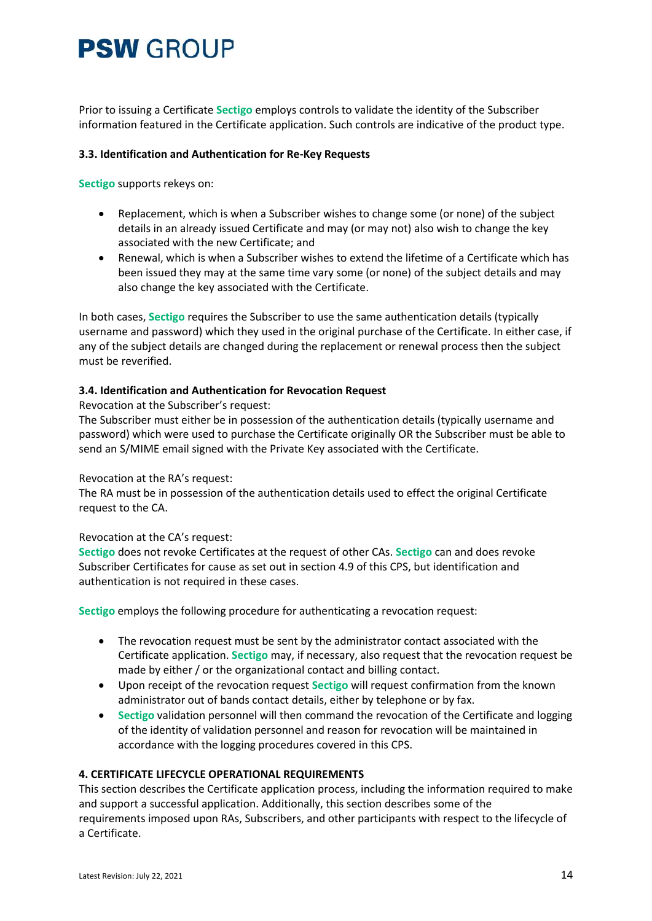Prior to issuing a Certificate **Sectigo** employs controls to validate the identity of the Subscriber information featured in the Certificate application. Such controls are indicative of the product type.

#### **3.3. Identification and Authentication for Re-Key Requests**

**Sectigo** supports rekeys on:

- Replacement, which is when a Subscriber wishes to change some (or none) of the subject details in an already issued Certificate and may (or may not) also wish to change the key associated with the new Certificate; and
- Renewal, which is when a Subscriber wishes to extend the lifetime of a Certificate which has been issued they may at the same time vary some (or none) of the subject details and may also change the key associated with the Certificate.

In both cases, **Sectigo** requires the Subscriber to use the same authentication details (typically username and password) which they used in the original purchase of the Certificate. In either case, if any of the subject details are changed during the replacement or renewal process then the subject must be reverified.

#### **3.4. Identification and Authentication for Revocation Request**

Revocation at the Subscriber's request:

The Subscriber must either be in possession of the authentication details (typically username and password) which were used to purchase the Certificate originally OR the Subscriber must be able to send an S/MIME email signed with the Private Key associated with the Certificate.

#### Revocation at the RA's request:

The RA must be in possession of the authentication details used to effect the original Certificate request to the CA.

#### Revocation at the CA's request:

**Sectigo** does not revoke Certificates at the request of other CAs. **Sectigo** can and does revoke Subscriber Certificates for cause as set out in section 4.9 of this CPS, but identification and authentication is not required in these cases.

**Sectigo** employs the following procedure for authenticating a revocation request:

- The revocation request must be sent by the administrator contact associated with the Certificate application. **Sectigo** may, if necessary, also request that the revocation request be made by either / or the organizational contact and billing contact.
- Upon receipt of the revocation request **Sectigo** will request confirmation from the known administrator out of bands contact details, either by telephone or by fax.
- **Sectigo** validation personnel will then command the revocation of the Certificate and logging of the identity of validation personnel and reason for revocation will be maintained in accordance with the logging procedures covered in this CPS.

#### **4. CERTIFICATE LIFECYCLE OPERATIONAL REQUIREMENTS**

This section describes the Certificate application process, including the information required to make and support a successful application. Additionally, this section describes some of the requirements imposed upon RAs, Subscribers, and other participants with respect to the lifecycle of a Certificate.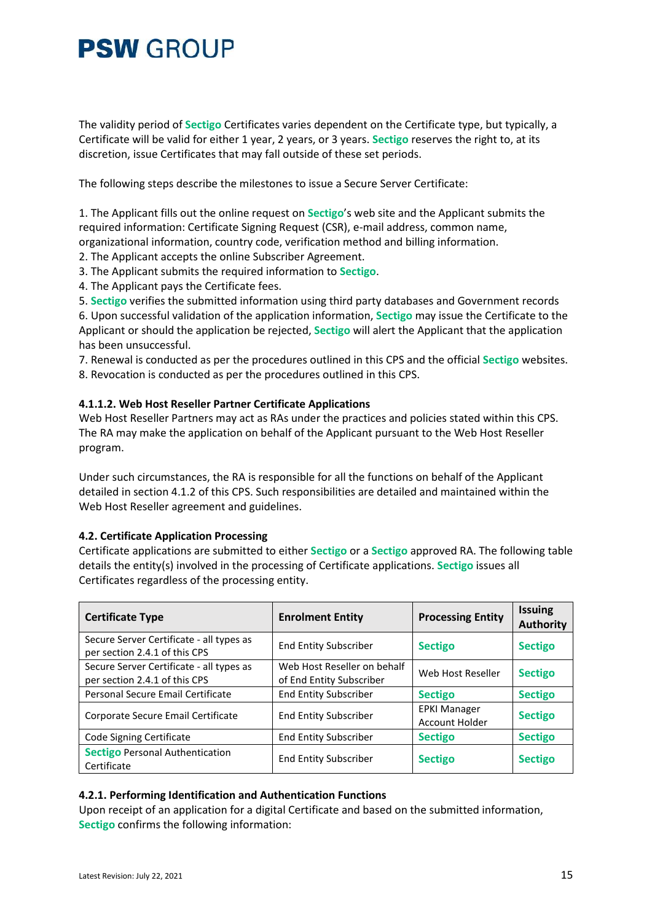The validity period of **Sectigo** Certificates varies dependent on the Certificate type, but typically, a Certificate will be valid for either 1 year, 2 years, or 3 years. **Sectigo** reserves the right to, at its discretion, issue Certificates that may fall outside of these set periods.

The following steps describe the milestones to issue a Secure Server Certificate:

1. The Applicant fills out the online request on **Sectigo**'s web site and the Applicant submits the required information: Certificate Signing Request (CSR), e-mail address, common name, organizational information, country code, verification method and billing information.

2. The Applicant accepts the online Subscriber Agreement.

3. The Applicant submits the required information to **Sectigo**.

4. The Applicant pays the Certificate fees.

5. **Sectigo** verifies the submitted information using third party databases and Government records

6. Upon successful validation of the application information, **Sectigo** may issue the Certificate to the Applicant or should the application be rejected, **Sectigo** will alert the Applicant that the application has been unsuccessful.

7. Renewal is conducted as per the procedures outlined in this CPS and the official **Sectigo** websites. 8. Revocation is conducted as per the procedures outlined in this CPS.

#### **4.1.1.2. Web Host Reseller Partner Certificate Applications**

Web Host Reseller Partners may act as RAs under the practices and policies stated within this CPS. The RA may make the application on behalf of the Applicant pursuant to the Web Host Reseller program.

Under such circumstances, the RA is responsible for all the functions on behalf of the Applicant detailed in section 4.1.2 of this CPS. Such responsibilities are detailed and maintained within the Web Host Reseller agreement and guidelines.

#### **4.2. Certificate Application Processing**

Certificate applications are submitted to either **Sectigo** or a **Sectigo** approved RA. The following table details the entity(s) involved in the processing of Certificate applications. **Sectigo** issues all Certificates regardless of the processing entity.

| <b>Certificate Type</b>                                                   | <b>Enrolment Entity</b>                                 | <b>Processing Entity</b>                     | <b>Issuing</b><br><b>Authority</b> |
|---------------------------------------------------------------------------|---------------------------------------------------------|----------------------------------------------|------------------------------------|
| Secure Server Certificate - all types as<br>per section 2.4.1 of this CPS | <b>End Entity Subscriber</b>                            | <b>Sectigo</b>                               | <b>Sectigo</b>                     |
| Secure Server Certificate - all types as<br>per section 2.4.1 of this CPS | Web Host Reseller on behalf<br>of End Entity Subscriber | Web Host Reseller                            | <b>Sectigo</b>                     |
| Personal Secure Email Certificate                                         | <b>End Entity Subscriber</b>                            | <b>Sectigo</b>                               | <b>Sectigo</b>                     |
| Corporate Secure Email Certificate                                        | <b>End Entity Subscriber</b>                            | <b>EPKI Manager</b><br><b>Account Holder</b> | <b>Sectigo</b>                     |
| Code Signing Certificate                                                  | <b>End Entity Subscriber</b>                            | <b>Sectigo</b>                               | <b>Sectigo</b>                     |
| <b>Sectigo Personal Authentication</b><br>Certificate                     | <b>End Entity Subscriber</b>                            | <b>Sectigo</b>                               | <b>Sectigo</b>                     |

#### **4.2.1. Performing Identification and Authentication Functions**

Upon receipt of an application for a digital Certificate and based on the submitted information, **Sectigo** confirms the following information: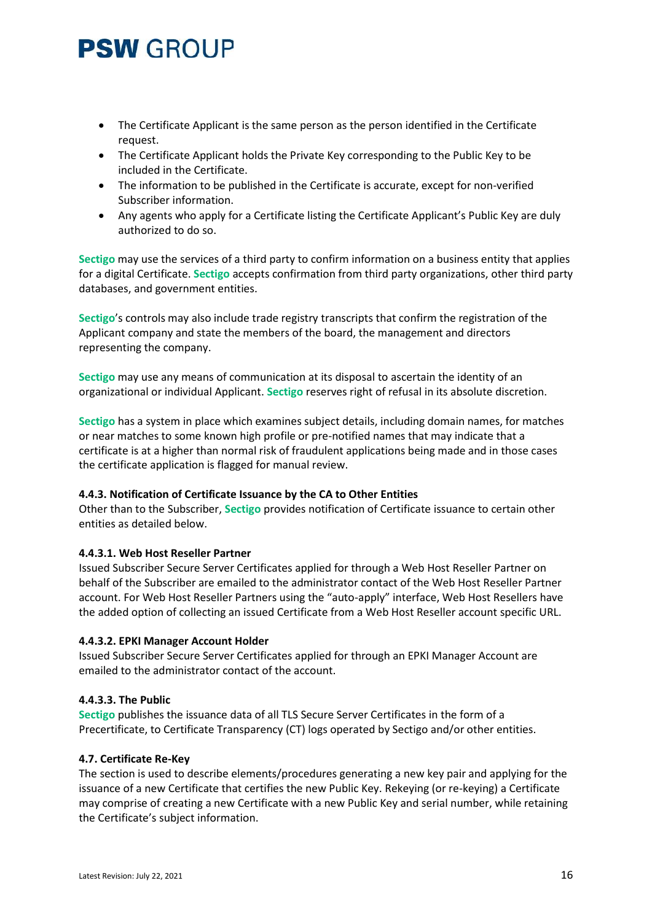- The Certificate Applicant is the same person as the person identified in the Certificate request.
- The Certificate Applicant holds the Private Key corresponding to the Public Key to be included in the Certificate.
- The information to be published in the Certificate is accurate, except for non-verified Subscriber information.
- Any agents who apply for a Certificate listing the Certificate Applicant's Public Key are duly authorized to do so.

**Sectigo** may use the services of a third party to confirm information on a business entity that applies for a digital Certificate. **Sectigo** accepts confirmation from third party organizations, other third party databases, and government entities.

**Sectigo**'s controls may also include trade registry transcripts that confirm the registration of the Applicant company and state the members of the board, the management and directors representing the company.

**Sectigo** may use any means of communication at its disposal to ascertain the identity of an organizational or individual Applicant. **Sectigo** reserves right of refusal in its absolute discretion.

**Sectigo** has a system in place which examines subject details, including domain names, for matches or near matches to some known high profile or pre-notified names that may indicate that a certificate is at a higher than normal risk of fraudulent applications being made and in those cases the certificate application is flagged for manual review.

#### **4.4.3. Notification of Certificate Issuance by the CA to Other Entities**

Other than to the Subscriber, **Sectigo** provides notification of Certificate issuance to certain other entities as detailed below.

#### **4.4.3.1. Web Host Reseller Partner**

Issued Subscriber Secure Server Certificates applied for through a Web Host Reseller Partner on behalf of the Subscriber are emailed to the administrator contact of the Web Host Reseller Partner account. For Web Host Reseller Partners using the "auto-apply" interface, Web Host Resellers have the added option of collecting an issued Certificate from a Web Host Reseller account specific URL.

#### **4.4.3.2. EPKI Manager Account Holder**

Issued Subscriber Secure Server Certificates applied for through an EPKI Manager Account are emailed to the administrator contact of the account.

#### **4.4.3.3. The Public**

**Sectigo** publishes the issuance data of all TLS Secure Server Certificates in the form of a Precertificate, to Certificate Transparency (CT) logs operated by Sectigo and/or other entities.

#### **4.7. Certificate Re-Key**

The section is used to describe elements/procedures generating a new key pair and applying for the issuance of a new Certificate that certifies the new Public Key. Rekeying (or re-keying) a Certificate may comprise of creating a new Certificate with a new Public Key and serial number, while retaining the Certificate's subject information.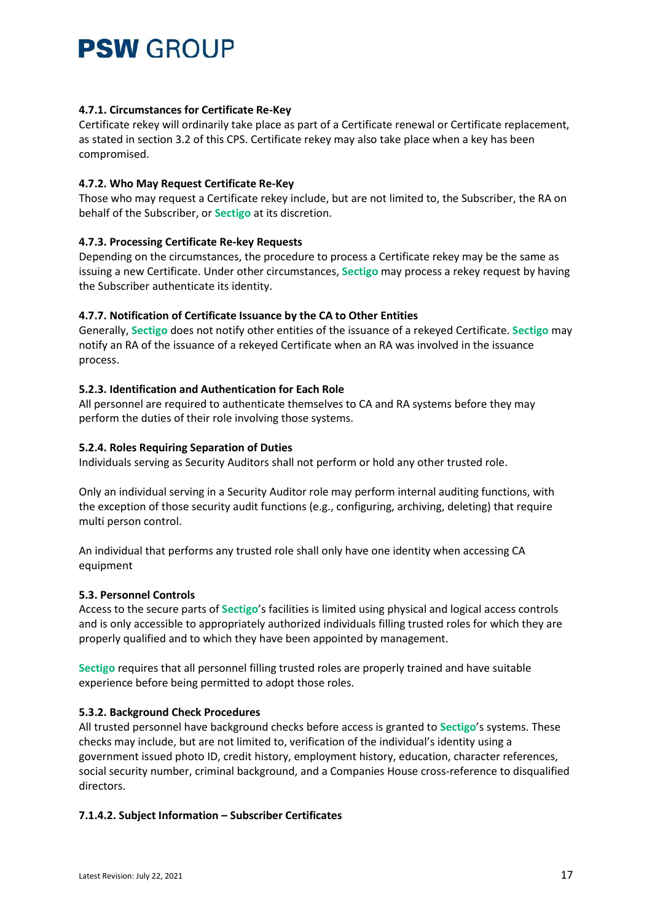### **4.7.1. Circumstances for Certificate Re-Key**

Certificate rekey will ordinarily take place as part of a Certificate renewal or Certificate replacement, as stated in section 3.2 of this CPS. Certificate rekey may also take place when a key has been compromised.

### **4.7.2. Who May Request Certificate Re-Key**

Those who may request a Certificate rekey include, but are not limited to, the Subscriber, the RA on behalf of the Subscriber, or **Sectigo** at its discretion.

### **4.7.3. Processing Certificate Re-key Requests**

Depending on the circumstances, the procedure to process a Certificate rekey may be the same as issuing a new Certificate. Under other circumstances, **Sectigo** may process a rekey request by having the Subscriber authenticate its identity.

### **4.7.7. Notification of Certificate Issuance by the CA to Other Entities**

Generally, **Sectigo** does not notify other entities of the issuance of a rekeyed Certificate. **Sectigo** may notify an RA of the issuance of a rekeyed Certificate when an RA was involved in the issuance process.

### **5.2.3. Identification and Authentication for Each Role**

All personnel are required to authenticate themselves to CA and RA systems before they may perform the duties of their role involving those systems.

### **5.2.4. Roles Requiring Separation of Duties**

Individuals serving as Security Auditors shall not perform or hold any other trusted role.

Only an individual serving in a Security Auditor role may perform internal auditing functions, with the exception of those security audit functions (e.g., configuring, archiving, deleting) that require multi person control.

An individual that performs any trusted role shall only have one identity when accessing CA equipment

#### **5.3. Personnel Controls**

Access to the secure parts of **Sectigo**'s facilities is limited using physical and logical access controls and is only accessible to appropriately authorized individuals filling trusted roles for which they are properly qualified and to which they have been appointed by management.

**Sectigo** requires that all personnel filling trusted roles are properly trained and have suitable experience before being permitted to adopt those roles.

#### **5.3.2. Background Check Procedures**

All trusted personnel have background checks before access is granted to **Sectigo**'s systems. These checks may include, but are not limited to, verification of the individual's identity using a government issued photo ID, credit history, employment history, education, character references, social security number, criminal background, and a Companies House cross-reference to disqualified directors.

#### **7.1.4.2. Subject Information – Subscriber Certificates**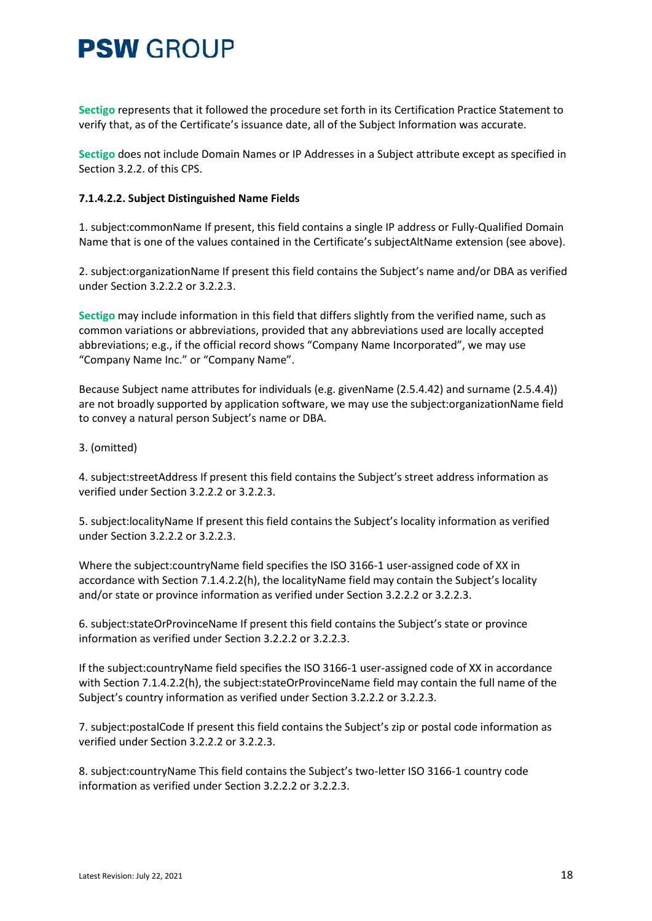**Sectigo** represents that it followed the procedure set forth in its Certification Practice Statement to verify that, as of the Certificate's issuance date, all of the Subject Information was accurate.

**Sectigo** does not include Domain Names or IP Addresses in a Subject attribute except as specified in Section 3.2.2. of this CPS.

#### **7.1.4.2.2. Subject Distinguished Name Fields**

1. subject:commonName If present, this field contains a single IP address or Fully-Qualified Domain Name that is one of the values contained in the Certificate's subjectAltName extension (see above).

2. subject:organizationName If present this field contains the Subject's name and/or DBA as verified under Section 3.2.2.2 or 3.2.2.3.

**Sectigo** may include information in this field that differs slightly from the verified name, such as common variations or abbreviations, provided that any abbreviations used are locally accepted abbreviations; e.g., if the official record shows "Company Name Incorporated", we may use "Company Name Inc." or "Company Name".

Because Subject name attributes for individuals (e.g. givenName (2.5.4.42) and surname (2.5.4.4)) are not broadly supported by application software, we may use the subject:organizationName field to convey a natural person Subject's name or DBA.

### 3. (omitted)

4. subject:streetAddress If present this field contains the Subject's street address information as verified under Section 3.2.2.2 or 3.2.2.3.

5. subject:localityName If present this field contains the Subject's locality information as verified under Section 3.2.2.2 or 3.2.2.3.

Where the subject:countryName field specifies the ISO 3166-1 user-assigned code of XX in accordance with Section 7.1.4.2.2(h), the localityName field may contain the Subject's locality and/or state or province information as verified under Section 3.2.2.2 or 3.2.2.3.

6. subject:stateOrProvinceName If present this field contains the Subject's state or province information as verified under Section 3.2.2.2 or 3.2.2.3.

If the subject:countryName field specifies the ISO 3166-1 user-assigned code of XX in accordance with Section 7.1.4.2.2(h), the subject:stateOrProvinceName field may contain the full name of the Subject's country information as verified under Section 3.2.2.2 or 3.2.2.3.

7. subject:postalCode If present this field contains the Subject's zip or postal code information as verified under Section 3.2.2.2 or 3.2.2.3.

8. subject:countryName This field contains the Subject's two-letter ISO 3166-1 country code information as verified under Section 3.2.2.2 or 3.2.2.3.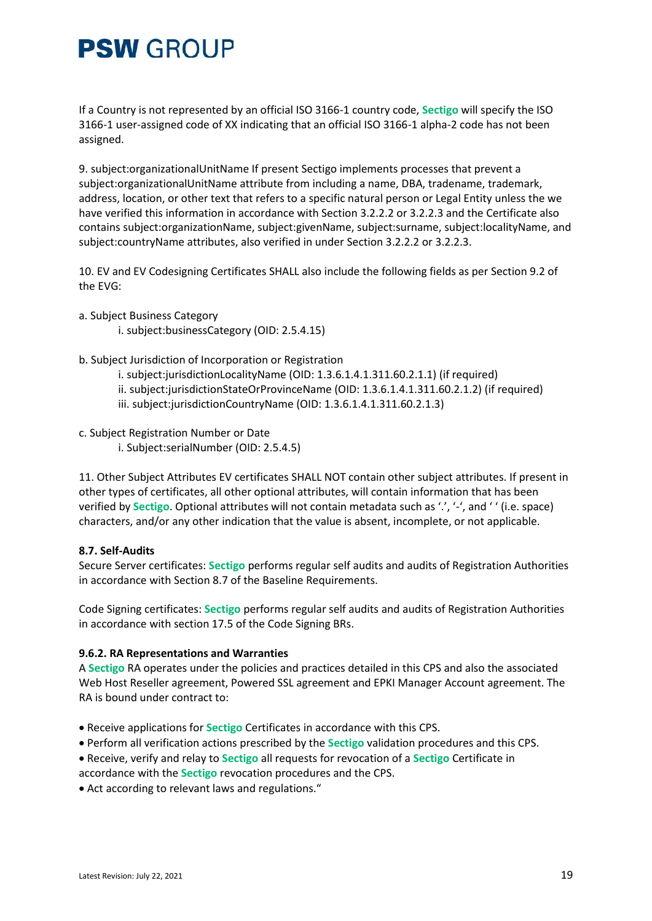If a Country is not represented by an official ISO 3166-1 country code, **Sectigo** will specify the ISO 3166-1 user-assigned code of XX indicating that an official ISO 3166-1 alpha-2 code has not been assigned.

9. subject:organizationalUnitName If present Sectigo implements processes that prevent a subject:organizationalUnitName attribute from including a name, DBA, tradename, trademark, address, location, or other text that refers to a specific natural person or Legal Entity unless the we have verified this information in accordance with Section 3.2.2.2 or 3.2.2.3 and the Certificate also contains subject:organizationName, subject:givenName, subject:surname, subject:localityName, and subject:countryName attributes, also verified in under Section 3.2.2.2 or 3.2.2.3.

10. EV and EV Codesigning Certificates SHALL also include the following fields as per Section 9.2 of the EVG:

- a. Subject Business Category
	- i. subject:businessCategory (OID: 2.5.4.15)
- b. Subject Jurisdiction of Incorporation or Registration
	- i. subject:jurisdictionLocalityName (OID: 1.3.6.1.4.1.311.60.2.1.1) (if required)
	- ii. subject:jurisdictionStateOrProvinceName (OID: 1.3.6.1.4.1.311.60.2.1.2) (if required)
	- iii. subject:jurisdictionCountryName (OID: 1.3.6.1.4.1.311.60.2.1.3)
- c. Subject Registration Number or Date
	- i. Subject:serialNumber (OID: 2.5.4.5)

11. Other Subject Attributes EV certificates SHALL NOT contain other subject attributes. If present in other types of certificates, all other optional attributes, will contain information that has been verified by **Sectigo**. Optional attributes will not contain metadata such as '.', '-', and ' ' (i.e. space) characters, and/or any other indication that the value is absent, incomplete, or not applicable.

#### **8.7. Self-Audits**

Secure Server certificates: **Sectigo** performs regular self audits and audits of Registration Authorities in accordance with Section 8.7 of the Baseline Requirements.

Code Signing certificates: **Sectigo** performs regular self audits and audits of Registration Authorities in accordance with section 17.5 of the Code Signing BRs.

#### **9.6.2. RA Representations and Warranties**

A **Sectigo** RA operates under the policies and practices detailed in this CPS and also the associated Web Host Reseller agreement, Powered SSL agreement and EPKI Manager Account agreement. The RA is bound under contract to:

- Receive applications for **Sectigo** Certificates in accordance with this CPS.
- Perform all verification actions prescribed by the **Sectigo** validation procedures and this CPS.
- Receive, verify and relay to **Sectigo** all requests for revocation of a **Sectigo** Certificate in
- accordance with the **Sectigo** revocation procedures and the CPS.
- Act according to relevant laws and regulations."